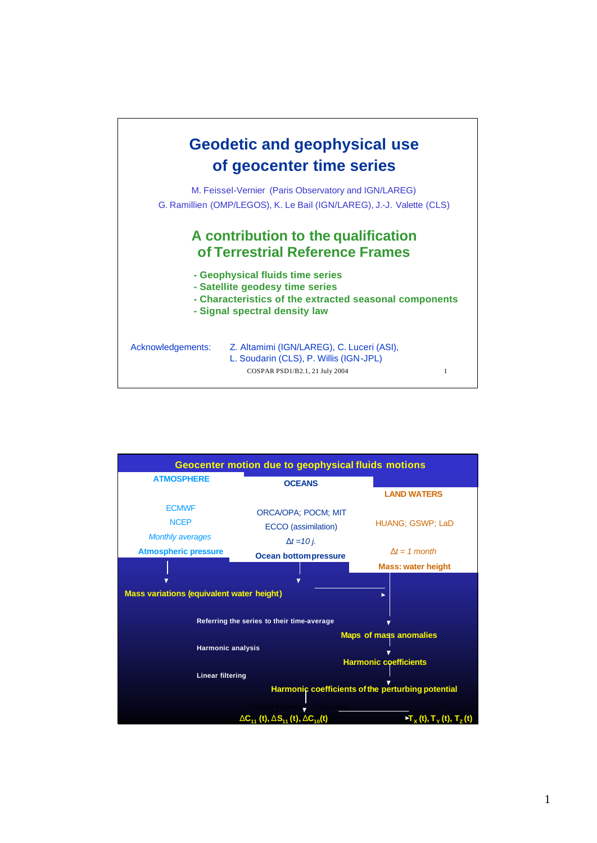

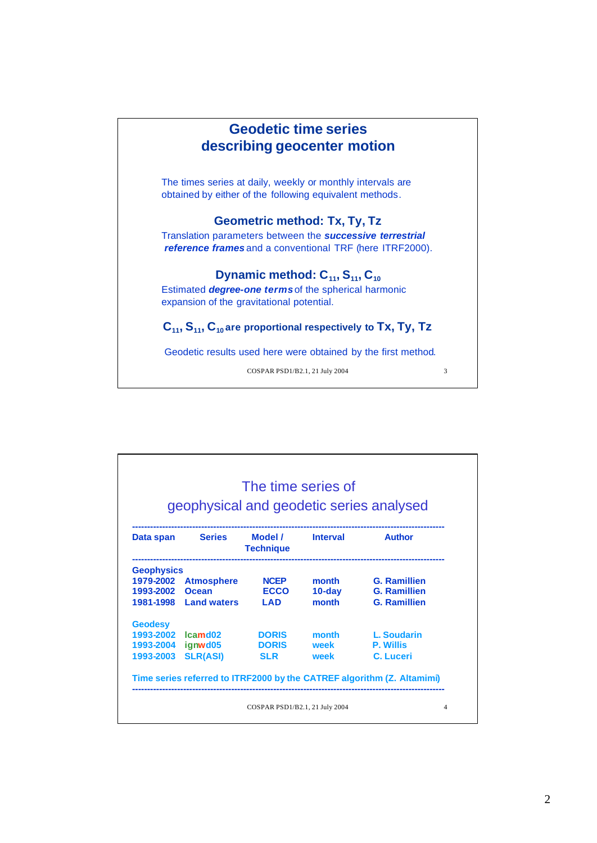

| geophysical and geodetic series analysed |                       |                             |                 |                                                                        |
|------------------------------------------|-----------------------|-----------------------------|-----------------|------------------------------------------------------------------------|
| Data span                                | <b>Series</b>         | Model /<br><b>Technique</b> | <b>Interval</b> | <b>Author</b>                                                          |
| <b>Geophysics</b>                        |                       |                             |                 |                                                                        |
|                                          | 1979-2002 Atmosphere  | <b>NCEP</b>                 | month           | <b>G. Ramillien</b>                                                    |
| 1993-2002                                | Ocean                 | <b>ECCO</b>                 | $10$ -day       | <b>G. Ramillien</b>                                                    |
|                                          | 1981-1998 Land waters | I AD                        | month           | <b>G. Ramillien</b>                                                    |
| <b>Geodesy</b>                           |                       |                             |                 |                                                                        |
| 1993-2002                                | Icamd <sub>02</sub>   | <b>DORIS</b>                | month           | L. Soudarin                                                            |
| 1993-2004 ignwd05                        |                       | <b>DORIS</b>                | week            | <b>P. Willis</b>                                                       |
| 1993-2003                                | <b>SLR(ASI)</b>       | <b>SLR</b>                  | week            | C. Luceri                                                              |
|                                          |                       |                             |                 | Time series referred to ITRF2000 by the CATREF algorithm (Z. Altamimi) |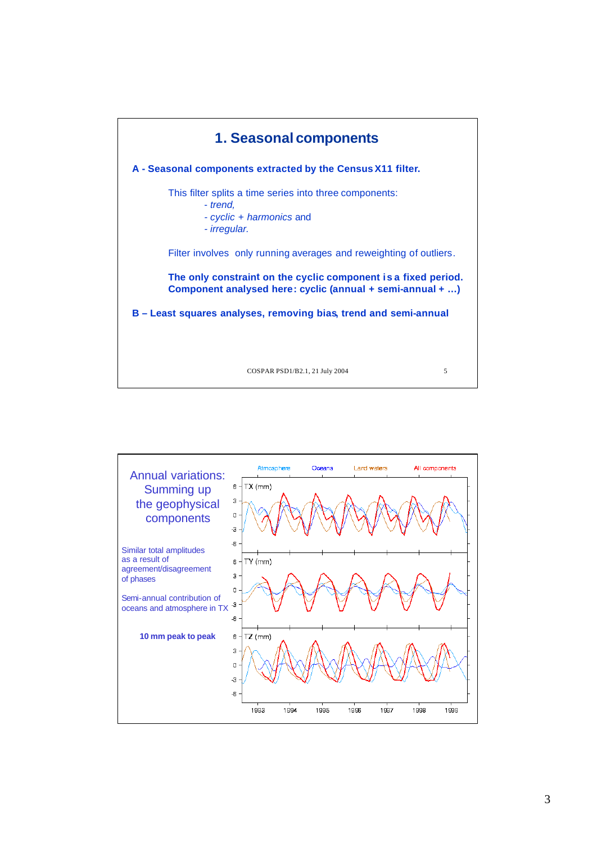

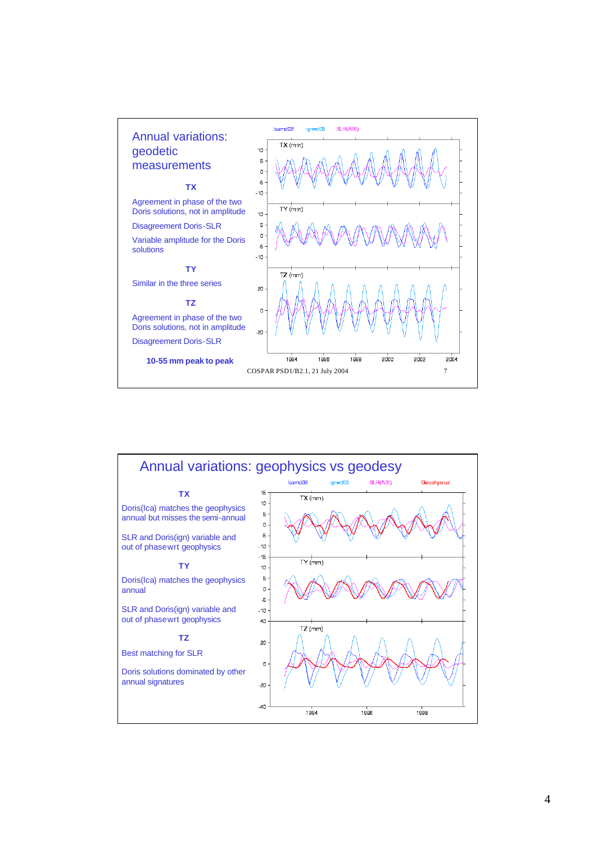

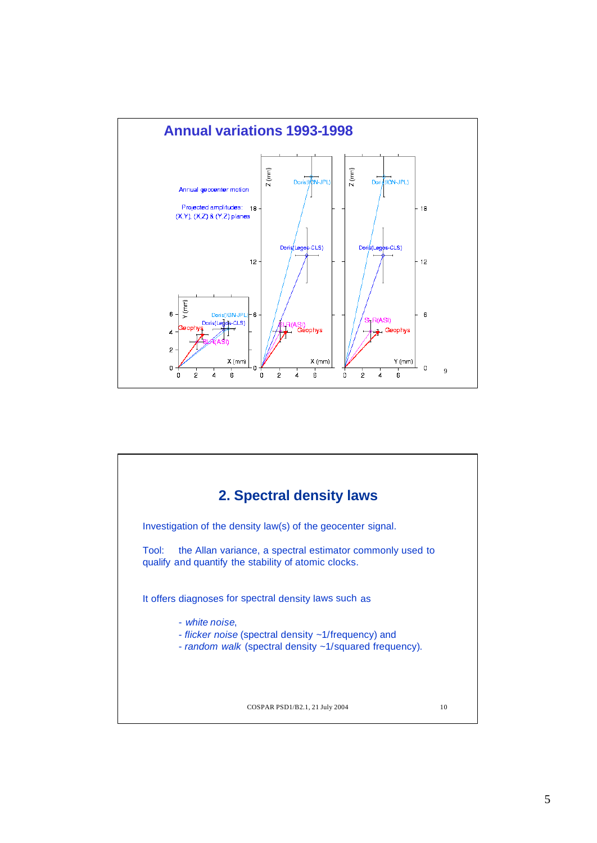

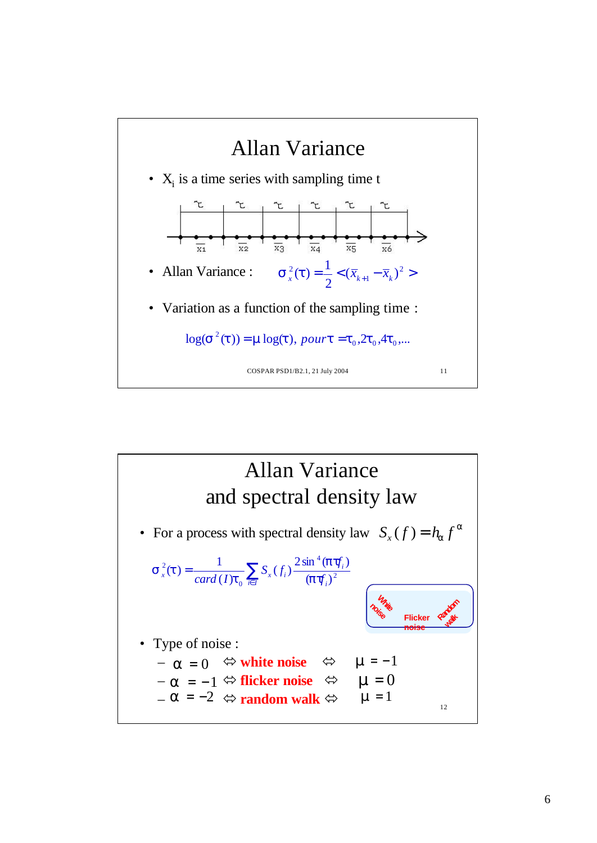

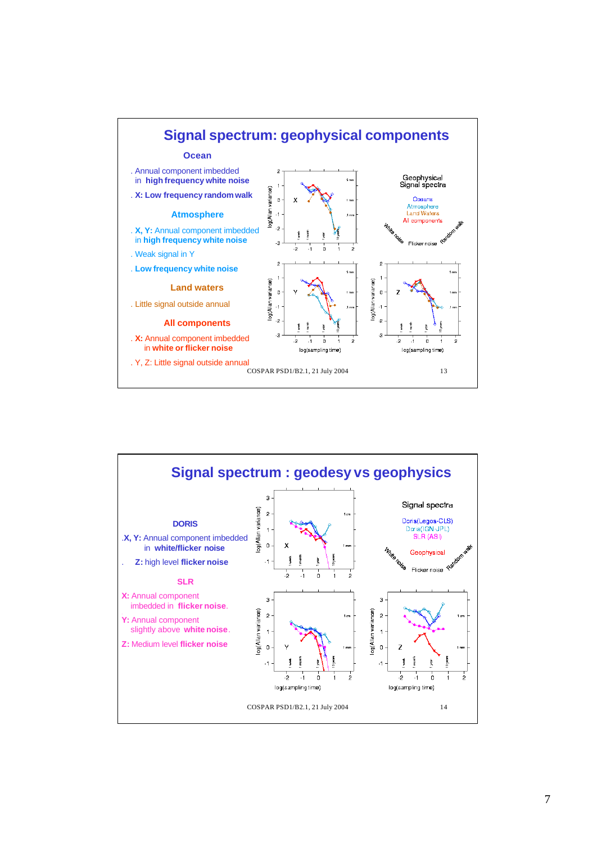